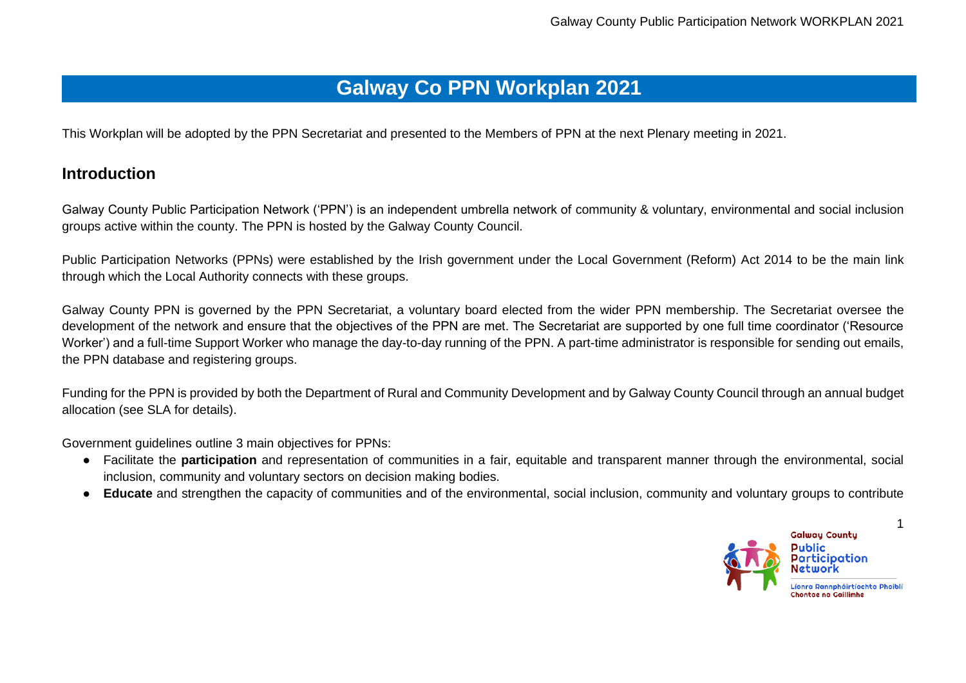## **Galway Co PPN Workplan 2021**

This Workplan will be adopted by the PPN Secretariat and presented to the Members of PPN at the next Plenary meeting in 2021.

## **Introduction**

Galway County Public Participation Network ('PPN') is an independent umbrella network of community & voluntary, environmental and social inclusion groups active within the county. The PPN is hosted by the Galway County Council.

Public Participation Networks (PPNs) were established by the Irish government under the Local Government (Reform) Act 2014 to be the main link through which the Local Authority connects with these groups.

Galway County PPN is governed by the PPN Secretariat, a voluntary board elected from the wider PPN membership. The Secretariat oversee the development of the network and ensure that the objectives of the PPN are met. The Secretariat are supported by one full time coordinator ('Resource Worker') and a full-time Support Worker who manage the day-to-day running of the PPN. A part-time administrator is responsible for sending out emails, the PPN database and registering groups.

Funding for the PPN is provided by both the Department of Rural and Community Development and by Galway County Council through an annual budget allocation (see SLA for details).

Government guidelines outline 3 main objectives for PPNs:

- Facilitate the **participation** and representation of communities in a fair, equitable and transparent manner through the environmental, social inclusion, community and voluntary sectors on decision making bodies.
- **Educate** and strengthen the capacity of communities and of the environmental, social inclusion, community and voluntary groups to contribute

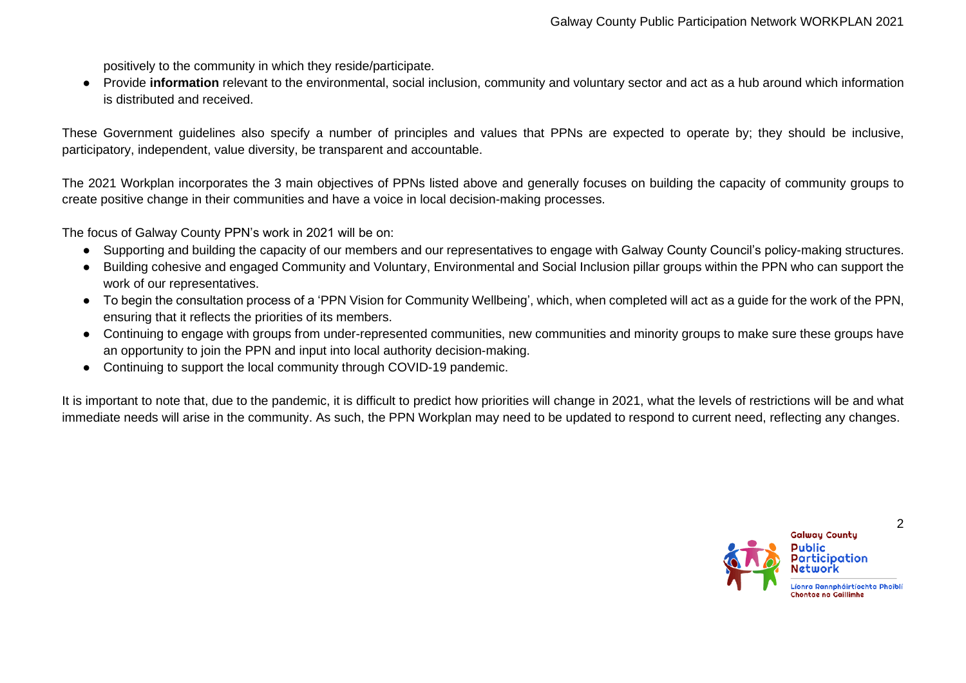positively to the community in which they reside/participate.

● Provide **information** relevant to the environmental, social inclusion, community and voluntary sector and act as a hub around which information is distributed and received.

These Government guidelines also specify a number of principles and values that PPNs are expected to operate by; they should be inclusive, participatory, independent, value diversity, be transparent and accountable.

The 2021 Workplan incorporates the 3 main objectives of PPNs listed above and generally focuses on building the capacity of community groups to create positive change in their communities and have a voice in local decision-making processes.

The focus of Galway County PPN's work in 2021 will be on:

- Supporting and building the capacity of our members and our representatives to engage with Galway County Council's policy-making structures.
- Building cohesive and engaged Community and Voluntary, Environmental and Social Inclusion pillar groups within the PPN who can support the work of our representatives.
- To begin the consultation process of a 'PPN Vision for Community Wellbeing', which, when completed will act as a guide for the work of the PPN, ensuring that it reflects the priorities of its members.
- Continuing to engage with groups from under-represented communities, new communities and minority groups to make sure these groups have an opportunity to join the PPN and input into local authority decision-making.
- Continuing to support the local community through COVID-19 pandemic.

It is important to note that, due to the pandemic, it is difficult to predict how priorities will change in 2021, what the levels of restrictions will be and what immediate needs will arise in the community. As such, the PPN Workplan may need to be updated to respond to current need, reflecting any changes.

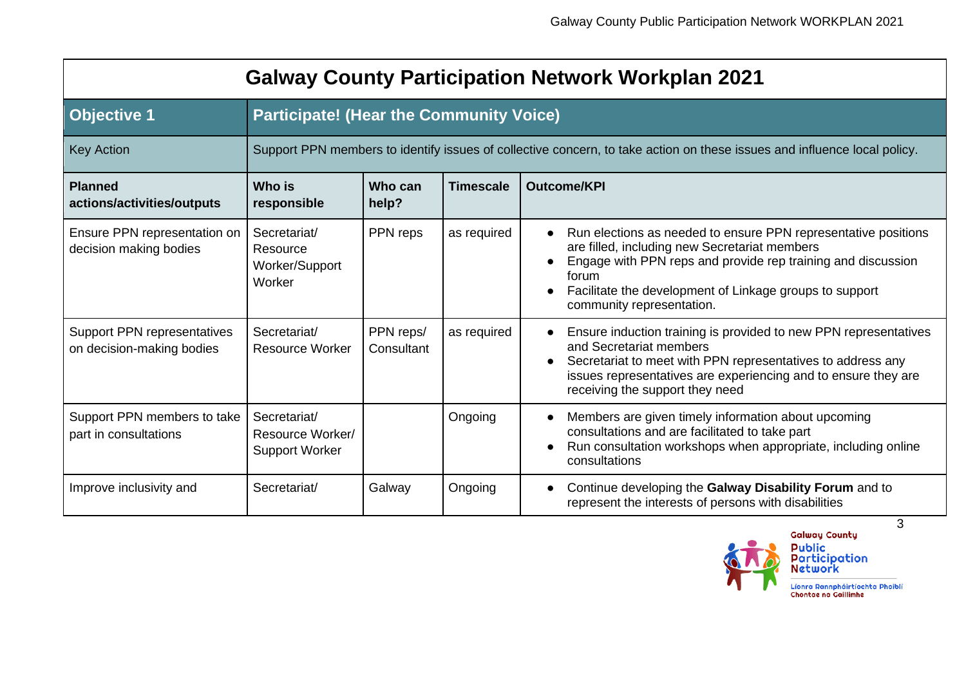| <b>Galway County Participation Network Workplan 2021</b> |                                                      |                                                                                                                          |                  |                                                                                                                                                                                                                                                                                               |  |  |
|----------------------------------------------------------|------------------------------------------------------|--------------------------------------------------------------------------------------------------------------------------|------------------|-----------------------------------------------------------------------------------------------------------------------------------------------------------------------------------------------------------------------------------------------------------------------------------------------|--|--|
| <b>Objective 1</b>                                       | <b>Participate! (Hear the Community Voice)</b>       |                                                                                                                          |                  |                                                                                                                                                                                                                                                                                               |  |  |
| <b>Key Action</b>                                        |                                                      | Support PPN members to identify issues of collective concern, to take action on these issues and influence local policy. |                  |                                                                                                                                                                                                                                                                                               |  |  |
| <b>Planned</b><br>actions/activities/outputs             | <b>Who</b> is<br>responsible                         | Who can<br>help?                                                                                                         | <b>Timescale</b> | <b>Outcome/KPI</b>                                                                                                                                                                                                                                                                            |  |  |
| Ensure PPN representation on<br>decision making bodies   | Secretariat/<br>Resource<br>Worker/Support<br>Worker | PPN reps                                                                                                                 | as required      | Run elections as needed to ensure PPN representative positions<br>are filled, including new Secretariat members<br>Engage with PPN reps and provide rep training and discussion<br>forum<br>Facilitate the development of Linkage groups to support<br>$\bullet$<br>community representation. |  |  |
| Support PPN representatives<br>on decision-making bodies | Secretariat/<br><b>Resource Worker</b>               | PPN reps/<br>Consultant                                                                                                  | as required      | Ensure induction training is provided to new PPN representatives<br>and Secretariat members<br>Secretariat to meet with PPN representatives to address any<br>issues representatives are experiencing and to ensure they are<br>receiving the support they need                               |  |  |
| Support PPN members to take<br>part in consultations     | Secretariat/<br>Resource Worker/                     |                                                                                                                          | Ongoing          | Members are given timely information about upcoming<br>consultations and are facilitated to take part                                                                                                                                                                                         |  |  |

Improve inclusivity and **Secretariat/** Galway **Ongoing | • Continue developing the Galway Disability Forum** and to

part in consultations

Support Worker



● Run consultation workshops when appropriate, including online

represent the interests of persons with disabilities

consultations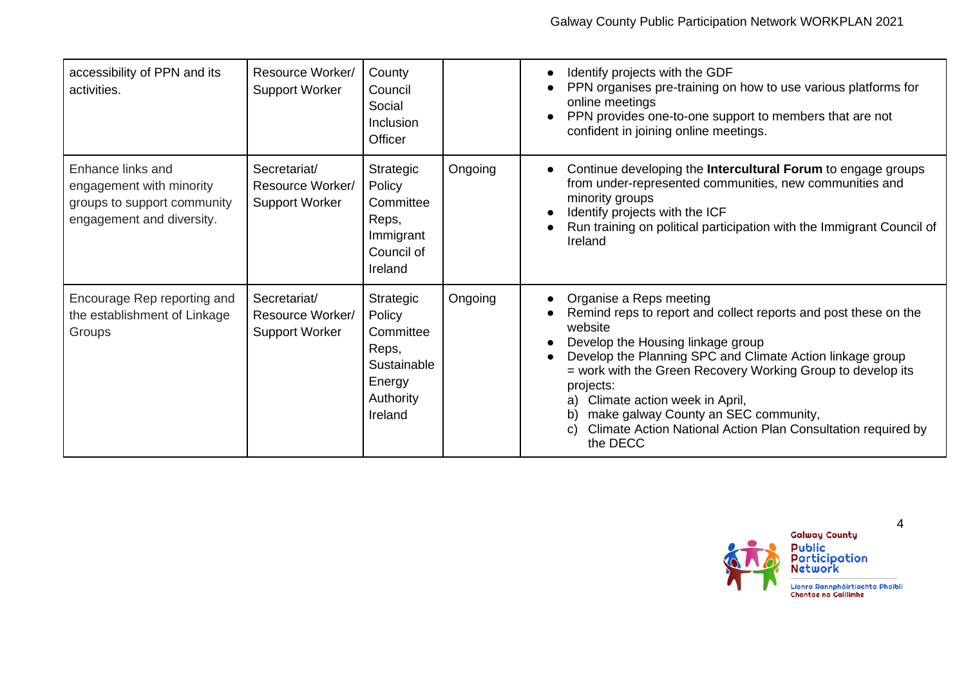| accessibility of PPN and its<br>activities.                                                               | Resource Worker/<br><b>Support Worker</b>                 | County<br>Council<br>Social<br>Inclusion<br>Officer                                        |         | Identify projects with the GDF<br>PPN organises pre-training on how to use various platforms for<br>online meetings<br>PPN provides one-to-one support to members that are not<br>confident in joining online meetings.                                                                                                                                                                                                                              |
|-----------------------------------------------------------------------------------------------------------|-----------------------------------------------------------|--------------------------------------------------------------------------------------------|---------|------------------------------------------------------------------------------------------------------------------------------------------------------------------------------------------------------------------------------------------------------------------------------------------------------------------------------------------------------------------------------------------------------------------------------------------------------|
| Enhance links and<br>engagement with minority<br>groups to support community<br>engagement and diversity. | Secretariat/<br>Resource Worker/<br><b>Support Worker</b> | Strategic<br>Policy<br>Committee<br>Reps,<br>Immigrant<br>Council of<br>Ireland            | Ongoing | Continue developing the Intercultural Forum to engage groups<br>from under-represented communities, new communities and<br>minority groups<br>Identify projects with the ICF<br>Run training on political participation with the Immigrant Council of<br>Ireland                                                                                                                                                                                     |
| Encourage Rep reporting and<br>the establishment of Linkage<br>Groups                                     | Secretariat/<br>Resource Worker/<br><b>Support Worker</b> | Strategic<br>Policy<br>Committee<br>Reps,<br>Sustainable<br>Energy<br>Authority<br>Ireland | Ongoing | Organise a Reps meeting<br>Remind reps to report and collect reports and post these on the<br>website<br>Develop the Housing linkage group<br>Develop the Planning SPC and Climate Action linkage group<br>= work with the Green Recovery Working Group to develop its<br>projects:<br>Climate action week in April,<br>a)<br>make galway County an SEC community,<br>b)<br>Climate Action National Action Plan Consultation required by<br>the DECC |

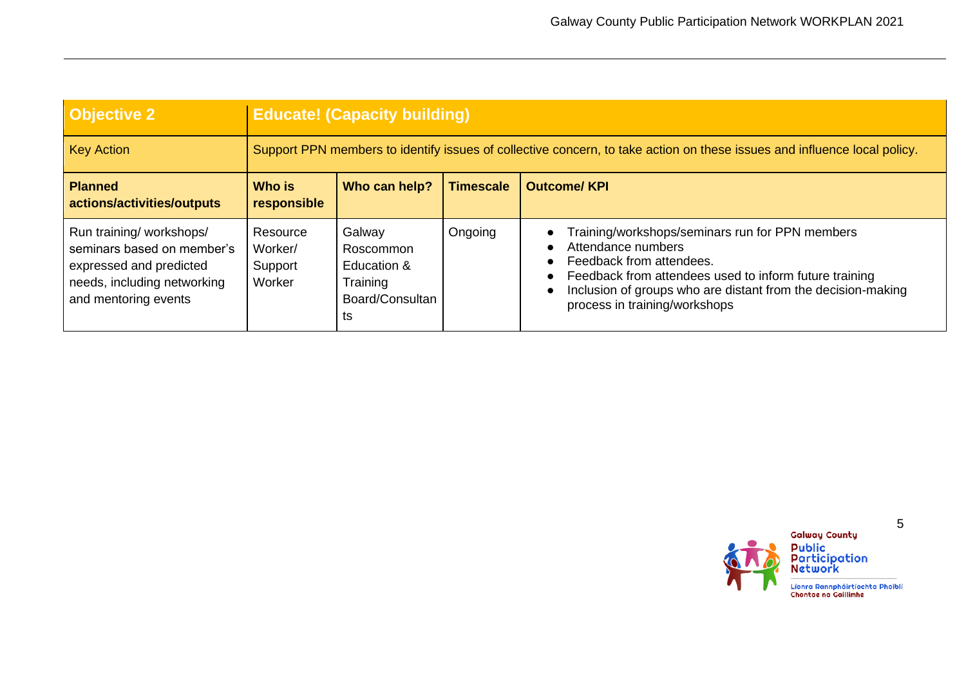| <b>Objective 2</b>                                                                                                                       | <b>Educate! (Capacity building)</b>                                                                                      |                                                                         |                  |                                                                                                                                                                                                                                                              |  |
|------------------------------------------------------------------------------------------------------------------------------------------|--------------------------------------------------------------------------------------------------------------------------|-------------------------------------------------------------------------|------------------|--------------------------------------------------------------------------------------------------------------------------------------------------------------------------------------------------------------------------------------------------------------|--|
| <b>Key Action</b>                                                                                                                        | Support PPN members to identify issues of collective concern, to take action on these issues and influence local policy. |                                                                         |                  |                                                                                                                                                                                                                                                              |  |
| <b>Planned</b><br>actions/activities/outputs                                                                                             | Who is<br>responsible                                                                                                    | Who can help?                                                           | <b>Timescale</b> | <b>Outcome/KPI</b>                                                                                                                                                                                                                                           |  |
| Run training/ workshops/<br>seminars based on member's<br>expressed and predicted<br>needs, including networking<br>and mentoring events | Resource<br>Worker/<br>Support<br>Worker                                                                                 | Galway<br>Roscommon<br>Education &<br>Training<br>Board/Consultan<br>ts | Ongoing          | Training/workshops/seminars run for PPN members<br>Attendance numbers<br>Feedback from attendees.<br>Feedback from attendees used to inform future training<br>Inclusion of groups who are distant from the decision-making<br>process in training/workshops |  |

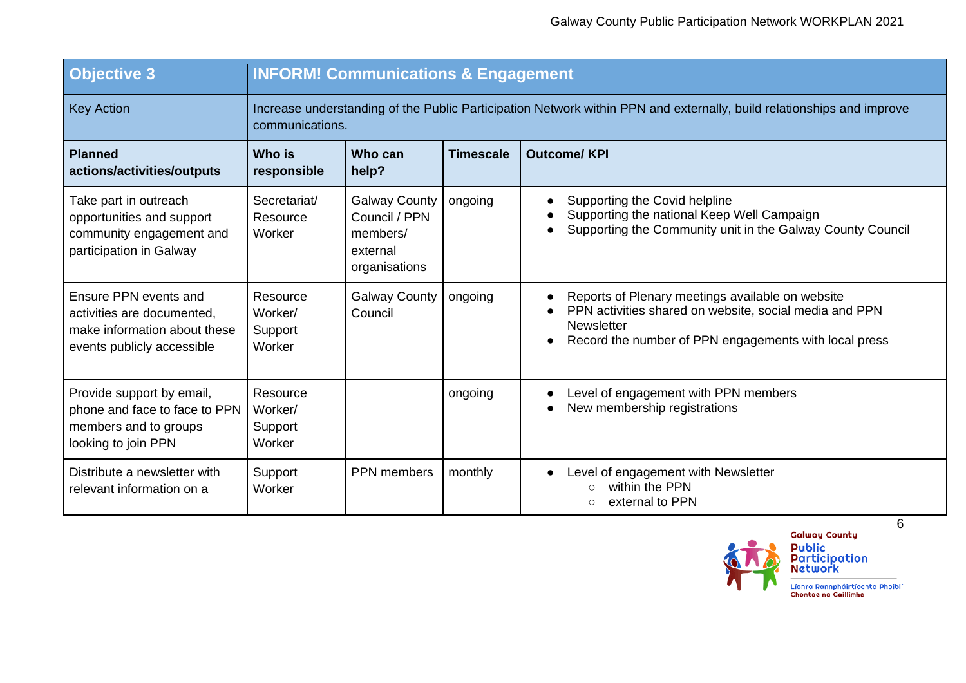| <b>Objective 3</b>                                                                                                | <b>INFORM! Communications &amp; Engagement</b>                                                                                           |                                                                                |                  |                                                                                                                                                                                          |  |  |
|-------------------------------------------------------------------------------------------------------------------|------------------------------------------------------------------------------------------------------------------------------------------|--------------------------------------------------------------------------------|------------------|------------------------------------------------------------------------------------------------------------------------------------------------------------------------------------------|--|--|
| <b>Key Action</b>                                                                                                 | Increase understanding of the Public Participation Network within PPN and externally, build relationships and improve<br>communications. |                                                                                |                  |                                                                                                                                                                                          |  |  |
| <b>Planned</b><br>actions/activities/outputs                                                                      | Who is<br>responsible                                                                                                                    | Who can<br>help?                                                               | <b>Timescale</b> | <b>Outcome/KPI</b>                                                                                                                                                                       |  |  |
| Take part in outreach<br>opportunities and support<br>community engagement and<br>participation in Galway         | Secretariat/<br>Resource<br>Worker                                                                                                       | <b>Galway County</b><br>Council / PPN<br>members/<br>external<br>organisations | ongoing          | Supporting the Covid helpline<br>Supporting the national Keep Well Campaign<br>Supporting the Community unit in the Galway County Council                                                |  |  |
| Ensure PPN events and<br>activities are documented,<br>make information about these<br>events publicly accessible | Resource<br>Worker/<br>Support<br>Worker                                                                                                 | <b>Galway County</b><br>Council                                                | ongoing          | Reports of Plenary meetings available on website<br>PPN activities shared on website, social media and PPN<br><b>Newsletter</b><br>Record the number of PPN engagements with local press |  |  |
| Provide support by email,<br>phone and face to face to PPN<br>members and to groups<br>looking to join PPN        | Resource<br>Worker/<br>Support<br>Worker                                                                                                 |                                                                                | ongoing          | Level of engagement with PPN members<br>New membership registrations                                                                                                                     |  |  |
| Distribute a newsletter with<br>relevant information on a                                                         | Support<br>Worker                                                                                                                        | PPN members                                                                    | monthly          | Level of engagement with Newsletter<br>within the PPN<br>external to PPN<br>$\circ$                                                                                                      |  |  |

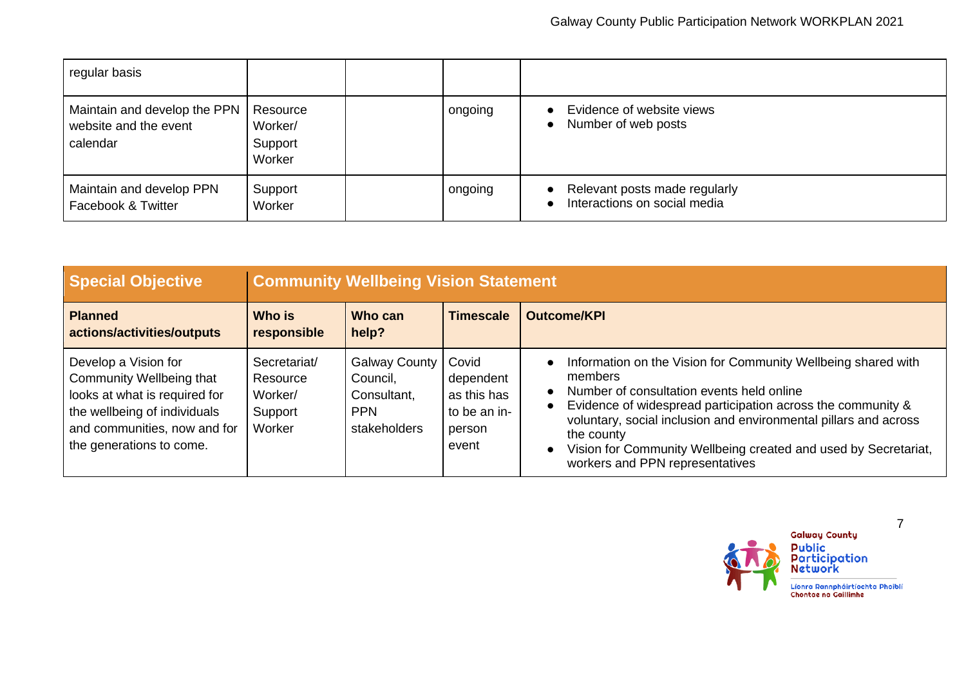| regular basis                                                     |                                          |         |                                                               |
|-------------------------------------------------------------------|------------------------------------------|---------|---------------------------------------------------------------|
| Maintain and develop the PPN<br>website and the event<br>calendar | Resource<br>Worker/<br>Support<br>Worker | ongoing | Evidence of website views<br>Number of web posts              |
| Maintain and develop PPN<br>Facebook & Twitter                    | Support<br>Worker                        | ongoing | Relevant posts made regularly<br>Interactions on social media |

| <b>Special Objective</b>                                                                                                                                                      | <b>Community Wellbeing Vision Statement</b>              |                                                                               |                                                                      |                                                                                                                                                                                                                                                                                                                                                                                           |  |
|-------------------------------------------------------------------------------------------------------------------------------------------------------------------------------|----------------------------------------------------------|-------------------------------------------------------------------------------|----------------------------------------------------------------------|-------------------------------------------------------------------------------------------------------------------------------------------------------------------------------------------------------------------------------------------------------------------------------------------------------------------------------------------------------------------------------------------|--|
| <b>Planned</b><br>actions/activities/outputs                                                                                                                                  | Who is<br>responsible                                    | Who can<br>help?                                                              | <b>Timescale</b>                                                     | <b>Outcome/KPI</b>                                                                                                                                                                                                                                                                                                                                                                        |  |
| Develop a Vision for<br>Community Wellbeing that<br>looks at what is required for<br>the wellbeing of individuals<br>and communities, now and for<br>the generations to come. | Secretariat/<br>Resource<br>Worker/<br>Support<br>Worker | <b>Galway County</b><br>Council,<br>Consultant,<br><b>PPN</b><br>stakeholders | Covid<br>dependent<br>as this has<br>to be an in-<br>person<br>event | Information on the Vision for Community Wellbeing shared with<br>members<br>Number of consultation events held online<br>$\bullet$<br>Evidence of widespread participation across the community &<br>voluntary, social inclusion and environmental pillars and across<br>the county<br>Vision for Community Wellbeing created and used by Secretariat,<br>workers and PPN representatives |  |

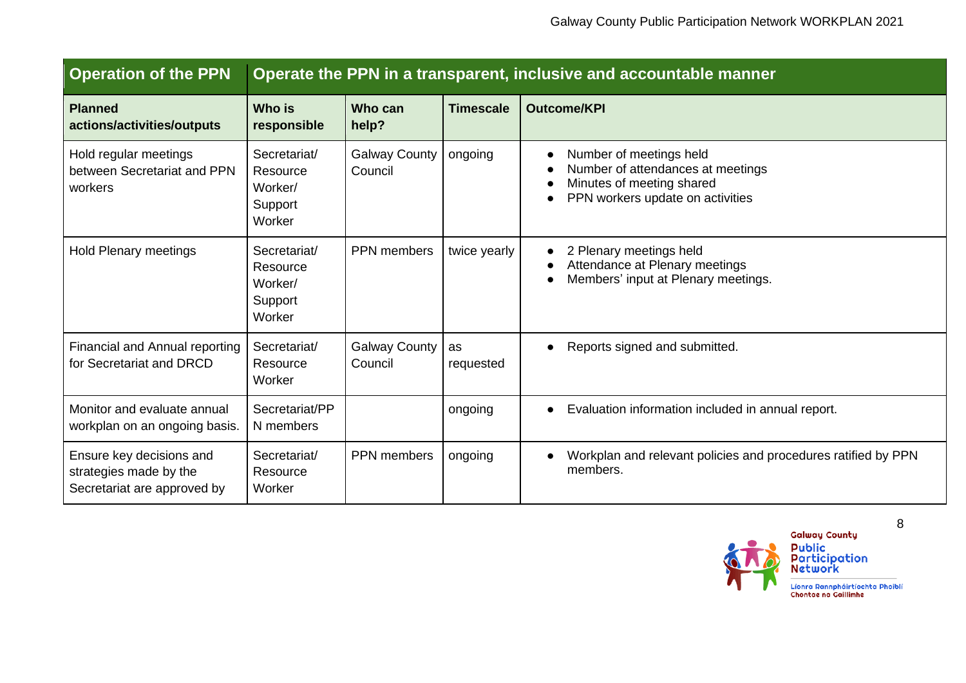| <b>Operation of the PPN</b>                                                       | Operate the PPN in a transparent, inclusive and accountable manner |                                 |                  |                                                                                                                               |  |  |
|-----------------------------------------------------------------------------------|--------------------------------------------------------------------|---------------------------------|------------------|-------------------------------------------------------------------------------------------------------------------------------|--|--|
| <b>Planned</b><br>actions/activities/outputs                                      | <b>Who is</b><br>responsible                                       | Who can<br>help?                | <b>Timescale</b> | <b>Outcome/KPI</b>                                                                                                            |  |  |
| Hold regular meetings<br>between Secretariat and PPN<br>workers                   | Secretariat/<br>Resource<br>Worker/<br>Support<br>Worker           | <b>Galway County</b><br>Council | ongoing          | Number of meetings held<br>Number of attendances at meetings<br>Minutes of meeting shared<br>PPN workers update on activities |  |  |
| <b>Hold Plenary meetings</b>                                                      | Secretariat/<br>Resource<br>Worker/<br>Support<br>Worker           | <b>PPN</b> members              | twice yearly     | 2 Plenary meetings held<br>Attendance at Plenary meetings<br>Members' input at Plenary meetings.                              |  |  |
| Financial and Annual reporting<br>for Secretariat and DRCD                        | Secretariat/<br>Resource<br>Worker                                 | <b>Galway County</b><br>Council | as<br>requested  | Reports signed and submitted.<br>$\bullet$                                                                                    |  |  |
| Monitor and evaluate annual<br>workplan on an ongoing basis.                      | Secretariat/PP<br>N members                                        |                                 | ongoing          | Evaluation information included in annual report.                                                                             |  |  |
| Ensure key decisions and<br>strategies made by the<br>Secretariat are approved by | Secretariat/<br>Resource<br>Worker                                 | PPN members                     | ongoing          | Workplan and relevant policies and procedures ratified by PPN<br>members.                                                     |  |  |



.<br>Líonra Rannpháirtíochta Phoiblí<br>Chontae na Gaillimhe